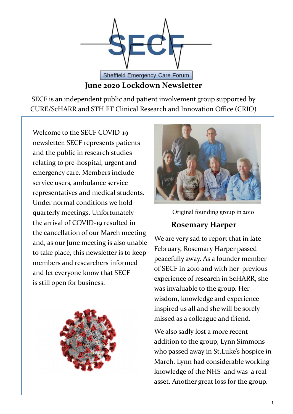

SECF is an independent public and patient involvement group supported by CURE/ScHARR and STH FT Clinical Research and Innovation Office (CRIO)

Welcome to the SECF COVID-19 newsletter. SECF represents patients and the public in research studies relating to pre-hospital, urgent and emergency care. Members include service users, ambulance service representatives and medical students. Under normal conditions we hold quarterly meetings. Unfortunately the arrival of COVID-19 resulted in the cancellation of our March meeting and, as our June meeting is also unable to take place, this newsletter is to keep members and researchers informed and let everyone know that SECF is still open for business.





Original founding group in 2010

#### **Rosemary Harper**

We are very sad to report that in late February, Rosemary Harper passed peacefully away. As a founder member of SECF in 2010 and with her previous experience of research in ScHARR, she was invaluable to the group. Her wisdom, knowledge and experience inspired us all and she will be sorely missed as a colleague and friend.

We also sadly lost a more recent addition to the group, Lynn Simmons who passed away in St.Luke's hospice in March. Lynn had considerable working knowledge of the NHS and was a real asset. Another great loss for the group.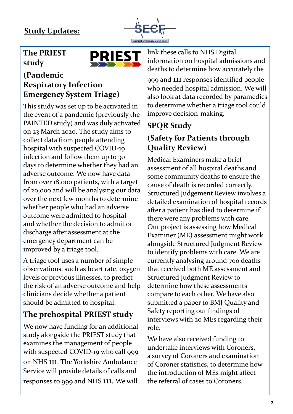

### **The PRIEST study**



#### **(Pandemic Respiratory Infection Emergency System Triage)**

This study was set up to be activated in the event of a pandemic (previously the PAINTED study) and was duly activated on 23 March 2020. The study aims to collect data from people attending hospital with suspected COVID-19 infection and follow them up to 30 days to determine whether they had an adverse outcome. We now have data from over 18,000 patients, with a target of 20,000 and will be analysing our data over the next few months to determine whether people who had an adverse outcome were admitted to hospital and whether the decision to admit or discharge after assessment at the emergency department can be improved by a triage tool.

A triage tool uses a number of simple observations, such as heart rate, oxygen levels or previous illnesses, to predict the risk of an adverse outcome and help clinicians decide whether a patient should be admitted to hospital.

## **The prehospital PRIEST study**

We now have funding for an additional study alongside the PRIEST study that examines the management of people with suspected COVID-19 who call 999 or NHS 111. The Yorkshire Ambulance Service will provide details of calls and responses to 999 and NHS 111. We will

link these calls to NHS Digital information on hospital admissions and deaths to determine how accurately the

999 and 111 responses identified people who needed hospital admission. We will also look at data recorded by paramedics to determine whether a triage tool could improve decision-making.

## **SPQR Study**

## **(Safety for Patients through Quality Review)**

Medical Examiners make a brief assessment of all hospital deaths and some community deaths to ensure the cause of death is recorded correctly. Structured Judgement Review involves a detailed examination of hospital records after a patient has died to determine if there were any problems with care. Our project is assessing how Medical Examiner (ME) assessment might work alongside Structured Judgment Review to identify problems with care. We are currently analysing around 700 deaths that received both ME assessment and Structured Judgment Review to determine how these assessments compare to each other. We have also submitted a paper to BMJ Quality and Safety reporting our findings of interviews with 20 MEs regarding their role.

We have also received funding to undertake interviews with Coroners, a survey of Coroners and examination of Coroner statistics, to determine how the introduction of MEs might affect the referral of cases to Coroners.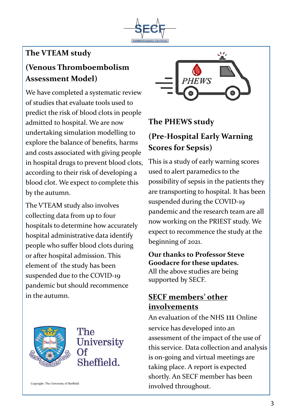

## **The VTEAM study**

# **(Venous Thromboembolism Assessment Model)**

We have completed a systematic review of studies that evaluate tools used to predict the risk of blood clots in people admitted to hospital. We are now undertaking simulation modelling to explore the balance of benefits, harms and costs associated with giving people in hospital drugs to prevent blood clots, according to their risk of developing a blood clot. We expect to complete this by the autumn.

The VTEAM study also involves collecting data from up to four hospitals to determine how accurately hospital administrative data identify people who suffer blood clots during or after hospital admission. This element of the study has been suspended due to the COVID-19 pandemic but should recommence in the autumn.



# The University Sheffield.

Copyright: The University of Sheffield



#### **The PHEWS study**

## **(Pre-Hospital Early Warning Scores for Sepsis)**

This is a study of early warning scores used to alert paramedics to the possibility of sepsis in the patients they are transporting to hospital. It has been suspended during the COVID-19 pandemic and the research team are all now working on the PRIEST study. We expect to recommence the study at the beginning of 2021.

#### **Our thanks to Professor Steve Goodacre for these updates.**  All the above studies are being supported by SECF.

#### **SECF members' other involvements**

An evaluation of the NHS 111 Online service has developed into an assessment of the impact of the use of this service. Data collection and analysis is on-going and virtual meetings are taking place. A report is expected shortly. An SECF member has been involved throughout.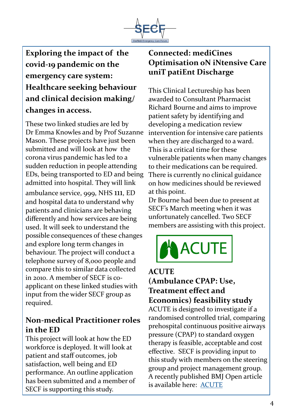

**Exploring the impact of the covid-19 pandemic on the emergency care system: Healthcare seeking behaviour and clinical decision making/ changes in access.**

These two linked studies are led by Dr Emma Knowles and by Prof Suzanne Mason. These projects have just been submitted and will look at how the corona virus pandemic has led to a sudden reduction in people attending EDs, being transported to ED and being admitted into hospital. They will link ambulance service, 999, NHS 111, ED and hospital data to understand why patients and clinicians are behaving differently and how services are being used. It will seek to understand the possible consequences of these changes and explore long term changes in behaviour. The project will conduct a telephone survey of 8,000 people and compare this to similar data collected in 2010. A member of SECF is coapplicant on these linked studies with input from the wider SECF group as required.

#### **Non-medical Practitioner roles in the ED**

This project will look at how the ED workforce is deployed. It will look at patient and staff outcomes, job satisfaction, well being and ED performance. An outline application has been submitted and a member of SECF is supporting this study.

### **Connected: mediCines Optimisation oN iNtensive Care uniT patiEnt Discharge**

This Clinical Lectureship has been awarded to Consultant Pharmacist Richard Bourne and aims to improve patient safety by identifying and developing a medication review intervention for intensive care patients when they are discharged to a ward. This is a critical time for these vulnerable patients when many changes to their medications can be required. There is currently no clinical guidance on how medicines should be reviewed at this point.

Dr Bourne had been due to present at SECF's March meeting when it was unfortunately cancelled. Two SECF members are assisting with this project.



#### **ACUTE (Ambulance CPAP: Use, Treatment effect and Economics) feasibility study**

ACUTE is designed to investigate if a randomised controlled trial, comparing prehospital continuous positive airways pressure (CPAP) to standard oxygen therapy is feasible, acceptable and cost effective. SECF is providing input to this study with members on the steering group and project management group. A recently published BMJ Open article is available here: [ACUTE](https://emj.bmj.com/content/36/12/809.2?rss=1&int_source=trendmd&int_medium=cpc&int_campaign=usage-042019)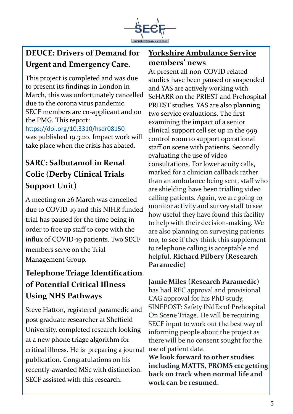

## **DEUCE: Drivers of Demand for Urgent and Emergency Care.**

This project is completed and was due to present its findings in London in March, this was unfortunately cancelled due to the corona virus pandemic. SECF members are co-applicant and on the PMG. This report: <https://doi.org/10.3310/hsdr08150> was published 19.3.20. Impact work will take place when the crisis has abated.

## **SARC: Salbutamol in Renal Colic (Derby Clinical Trials Support Unit)**

A meeting on 26 March was cancelled due to COVID-19 and this NIHR funded trial has paused for the time being in order to free up staff to cope with the influx of COVID-19 patients. Two SECF members serve on the Trial Management Group.

## **Telephone Triage Identification of Potential Critical Illness Using NHS Pathways**

Steve Hatton, registered paramedic and post graduate researcher at Sheffield University, completed research looking at a new phone triage algorithm for critical illness. He is preparing a journal publication. Congratulations on his recently-awarded MSc with distinction. SECF assisted with this research.

### **Yorkshire Ambulance Service members' news**

At present all non-COVID related studies have been paused or suspended and YAS are actively working with ScHARR on the PRIEST and Prehospital PRIEST studies. YAS are also planning two service evaluations. The first examining the impact of a senior clinical support cell set up in the 999 control room to support operational staff on scene with patients. Secondly evaluating the use of video consultations. For lower acuity calls, marked for a clinician callback rather than an ambulance being sent, staff who are shielding have been trialling video calling patients. Again, we are going to monitor activity and survey staff to see how useful they have found this facility to help with their decision-making. We are also planning on surveying patients too, to see if they think this supplement to telephone calling is acceptable and helpful. **Richard Pilbery (Research Paramedic)**

**Jamie Miles (Research Paramedic)** 

has had REC approval and provisional CAG approval for his PhD study, SINEPOST: Safety INdEx of Prehospital On Scene Triage. He will be requiring SECF input to work out the best way of informing people about the project as there will be no consent sought for the use of patient data.

**We look forward to other studies including MATTS, PROMS etc getting back on track when normal life and work can be resumed.**